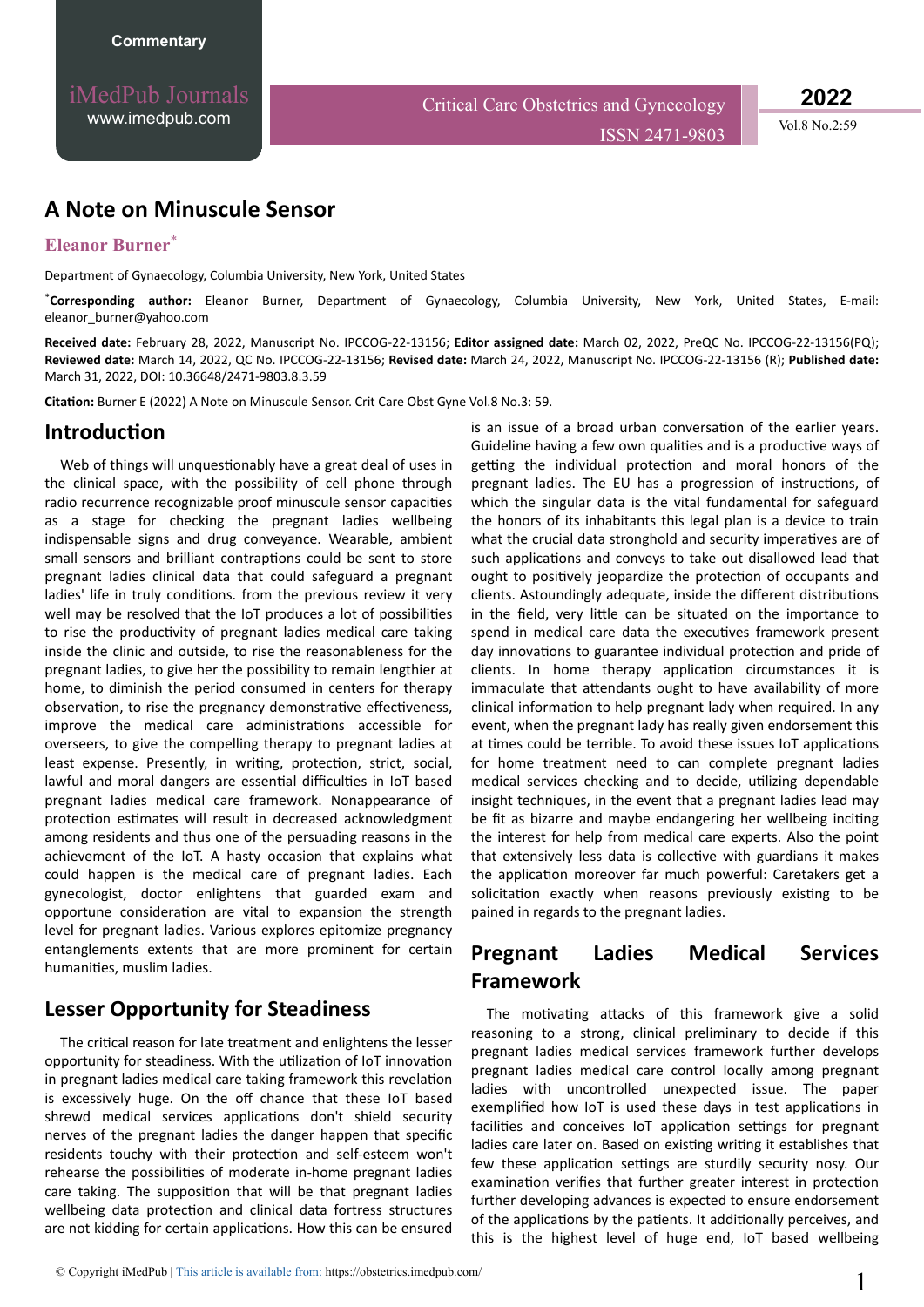**2022**

ISSN 2471-9803 Vol.8 No.2:59

## **A Note on Minuscule Sensor**

### **Eleanor Burner**\*

Department of Gynaecology, Columbia University, New York, United States

\***Corresponding author:** Eleanor Burner, Department of Gynaecology, Columbia University, New York, United States, E-mail: eleanor\_burner@yahoo.com

**Received date:** February 28, 2022, Manuscript No. IPCCOG-22-13156; **Editor assigned date:** March 02, 2022, PreQC No. IPCCOG-22-13156(PQ); **Reviewed date:** March 14, 2022, QC No. IPCCOG-22-13156; **Revised date:** March 24, 2022, Manuscript No. IPCCOG-22-13156 (R); **Published date:** March 31, 2022, DOI: 10.36648/2471-9803.8.3.59

**Citation:** Burner E (2022) A Note on Minuscule Sensor. Crit Care Obst Gyne Vol.8 No.3: 59.

#### **Introduction**

Web of things will unquestionably have a great deal of uses in the clinical space, with the possibility of cell phone through radio recurrence recognizable proof minuscule sensor capacities as a stage for checking the pregnant ladies wellbeing indispensable signs and drug conveyance. Wearable, ambient small sensors and brilliant contraptions could be sent to store pregnant ladies clinical data that could safeguard a pregnant ladies' life in truly conditions. from the previous review it very well may be resolved that the IoT produces a lot of possibilities to rise the productivity of pregnant ladies medical care taking inside the clinic and outside, to rise the reasonableness for the pregnant ladies, to give her the possibility to remain lengthier at home, to diminish the period consumed in centers for therapy observation, to rise the pregnancy demonstrative effectiveness, improve the medical care administrations accessible for overseers, to give the compelling therapy to pregnant ladies at least expense. Presently, in writing, protection, strict, social, lawful and moral dangers are essential difficulties in IoT based pregnant ladies medical care framework. Nonappearance of protection estimates will result in decreased acknowledgment among residents and thus one of the persuading reasons in the achievement of the IoT. A hasty occasion that explains what could happen is the medical care of pregnant ladies. Each gynecologist, doctor enlightens that guarded exam and opportune consideration are vital to expansion the strength level for pregnant ladies. Various explores epitomize pregnancy entanglements extents that are more prominent for certain humanities, muslim ladies.

### **Lesser Opportunity for Steadiness**

The critical reason for late treatment and enlightens the lesser opportunity for steadiness. With the utilization of IoT innovation in pregnant ladies medical care taking framework this revelation is excessively huge. On the off chance that these IoT based shrewd medical services applications don't shield security nerves of the pregnant ladies the danger happen that specific residents touchy with their protection and self-esteem won't rehearse the possibilities of moderate in-home pregnant ladies care taking. The supposition that will be that pregnant ladies wellbeing data protection and clinical data fortress structures are not kidding for certain applications. How this can be ensured

is an issue of a broad urban conversation of the earlier years. Guideline having a few own qualities and is a productive ways of getting the individual protection and moral honors of the pregnant ladies. The EU has a progression of instructions, of which the singular data is the vital fundamental for safeguard the honors of its inhabitants this legal plan is a device to train what the crucial data stronghold and security imperatives are of such applications and conveys to take out disallowed lead that ought to positively jeopardize the protection of occupants and clients. Astoundingly adequate, inside the different distributions in the field, very little can be situated on the importance to spend in medical care data the executives framework present day innovations to guarantee individual protection and pride of clients. In home therapy application circumstances it is immaculate that attendants ought to have availability of more clinical information to help pregnant lady when required. In any event, when the pregnant lady has really given endorsement this at times could be terrible. To avoid these issues IoT applications for home treatment need to can complete pregnant ladies medical services checking and to decide, utilizing dependable insight techniques, in the event that a pregnant ladies lead may be fit as bizarre and maybe endangering her wellbeing inciting the interest for help from medical care experts. Also the point that extensively less data is collective with guardians it makes the application moreover far much powerful: Caretakers get a solicitation exactly when reasons previously existing to be pained in regards to the pregnant ladies.

# **Pregnant Ladies Medical Services Framework**

The motivating attacks of this framework give a solid reasoning to a strong, clinical preliminary to decide if this pregnant ladies medical services framework further develops pregnant ladies medical care control locally among pregnant ladies with uncontrolled unexpected issue. The paper exemplified how IoT is used these days in test applications in facilities and conceives IoT application settings for pregnant ladies care later on. Based on existing writing it establishes that few these application settings are sturdily security nosy. Our examination verifies that further greater interest in protection further developing advances is expected to ensure endorsement of the applications by the patients. It additionally perceives, and this is the highest level of huge end, IoT based wellbeing